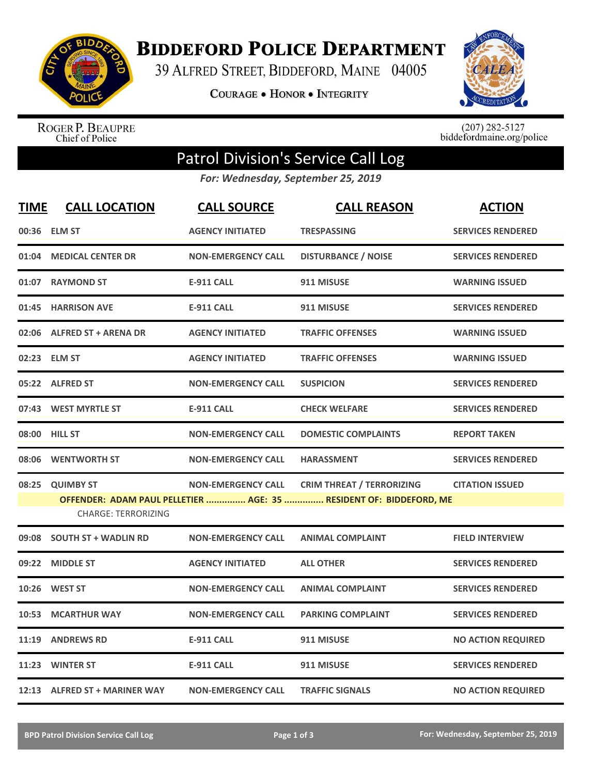

**BIDDEFORD POLICE DEPARTMENT** 

39 ALFRED STREET, BIDDEFORD, MAINE 04005

**COURAGE . HONOR . INTEGRITY** 



ROGER P. BEAUPRE<br>Chief of Police

 $(207)$  282-5127<br>biddefordmaine.org/police

## Patrol Division's Service Call Log

*For: Wednesday, September 25, 2019*

| <b>TIME</b> | <b>CALL LOCATION</b>          | <b>CALL SOURCE</b>        | <b>CALL REASON</b>                                                                                     | <b>ACTION</b>             |
|-------------|-------------------------------|---------------------------|--------------------------------------------------------------------------------------------------------|---------------------------|
|             | 00:36 ELM ST                  | <b>AGENCY INITIATED</b>   | <b>TRESPASSING</b>                                                                                     | <b>SERVICES RENDERED</b>  |
| 01:04       | <b>MEDICAL CENTER DR</b>      | <b>NON-EMERGENCY CALL</b> | <b>DISTURBANCE / NOISE</b>                                                                             | <b>SERVICES RENDERED</b>  |
|             | 01:07 RAYMOND ST              | <b>E-911 CALL</b>         | 911 MISUSE                                                                                             | <b>WARNING ISSUED</b>     |
|             | 01:45 HARRISON AVE            | <b>E-911 CALL</b>         | 911 MISUSE                                                                                             | <b>SERVICES RENDERED</b>  |
|             | 02:06 ALFRED ST + ARENA DR    | <b>AGENCY INITIATED</b>   | <b>TRAFFIC OFFENSES</b>                                                                                | <b>WARNING ISSUED</b>     |
|             | 02:23 ELM ST                  | <b>AGENCY INITIATED</b>   | <b>TRAFFIC OFFENSES</b>                                                                                | <b>WARNING ISSUED</b>     |
|             | 05:22 ALFRED ST               | <b>NON-EMERGENCY CALL</b> | <b>SUSPICION</b>                                                                                       | <b>SERVICES RENDERED</b>  |
|             | 07:43 WEST MYRTLE ST          | <b>E-911 CALL</b>         | <b>CHECK WELFARE</b>                                                                                   | <b>SERVICES RENDERED</b>  |
|             | 08:00 HILL ST                 | <b>NON-EMERGENCY CALL</b> | <b>DOMESTIC COMPLAINTS</b>                                                                             | <b>REPORT TAKEN</b>       |
|             | 08:06 WENTWORTH ST            | <b>NON-EMERGENCY CALL</b> | <b>HARASSMENT</b>                                                                                      | <b>SERVICES RENDERED</b>  |
| 08:25       | <b>QUIMBY ST</b>              | <b>NON-EMERGENCY CALL</b> | <b>CRIM THREAT / TERRORIZING</b><br>OFFENDER: ADAM PAUL PELLETIER  AGE: 35  RESIDENT OF: BIDDEFORD, ME | <b>CITATION ISSUED</b>    |
|             | <b>CHARGE: TERRORIZING</b>    |                           |                                                                                                        |                           |
|             | 09:08 SOUTH ST + WADLIN RD    | <b>NON-EMERGENCY CALL</b> | <b>ANIMAL COMPLAINT</b>                                                                                | <b>FIELD INTERVIEW</b>    |
| 09:22       | <b>MIDDLE ST</b>              | <b>AGENCY INITIATED</b>   | <b>ALL OTHER</b>                                                                                       | <b>SERVICES RENDERED</b>  |
| 10:26       | <b>WEST ST</b>                | <b>NON-EMERGENCY CALL</b> | <b>ANIMAL COMPLAINT</b>                                                                                | <b>SERVICES RENDERED</b>  |
| 10:53       | <b>MCARTHUR WAY</b>           | <b>NON-EMERGENCY CALL</b> | <b>PARKING COMPLAINT</b>                                                                               | <b>SERVICES RENDERED</b>  |
| 11:19       | <b>ANDREWS RD</b>             | <b>E-911 CALL</b>         | 911 MISUSE                                                                                             | <b>NO ACTION REQUIRED</b> |
|             | 11:23 WINTER ST               | <b>E-911 CALL</b>         | 911 MISUSE                                                                                             | <b>SERVICES RENDERED</b>  |
|             | 12:13 ALFRED ST + MARINER WAY | <b>NON-EMERGENCY CALL</b> | <b>TRAFFIC SIGNALS</b>                                                                                 | <b>NO ACTION REQUIRED</b> |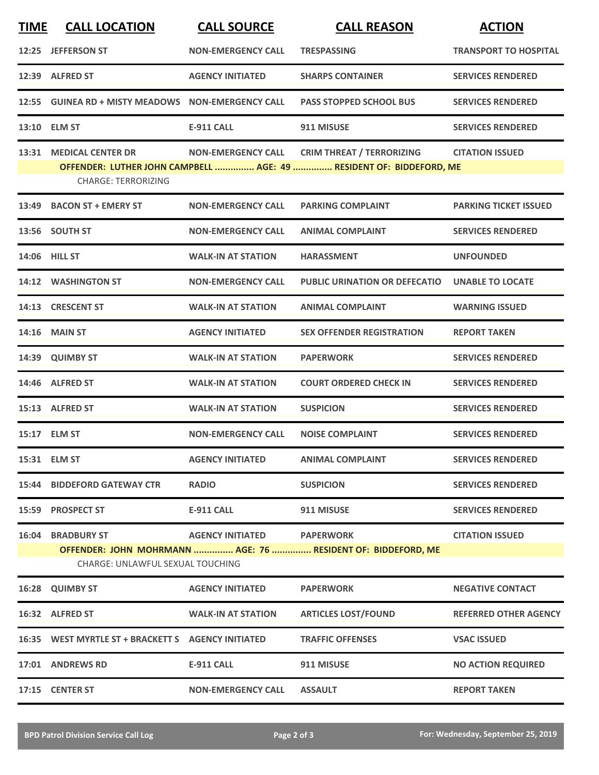| <b>TIME</b> | <b>CALL LOCATION</b>                                         | <b>CALL SOURCE</b>        | <b>CALL REASON</b>                                                                                      | <b>ACTION</b>                |
|-------------|--------------------------------------------------------------|---------------------------|---------------------------------------------------------------------------------------------------------|------------------------------|
|             | 12:25 JEFFERSON ST                                           | <b>NON-EMERGENCY CALL</b> | <b>TRESPASSING</b>                                                                                      | <b>TRANSPORT TO HOSPITAL</b> |
|             | 12:39 ALFRED ST                                              | <b>AGENCY INITIATED</b>   | <b>SHARPS CONTAINER</b>                                                                                 | <b>SERVICES RENDERED</b>     |
|             | 12:55 GUINEA RD + MISTY MEADOWS NON-EMERGENCY CALL           |                           | <b>PASS STOPPED SCHOOL BUS</b>                                                                          | <b>SERVICES RENDERED</b>     |
|             | 13:10 ELM ST                                                 | <b>E-911 CALL</b>         | 911 MISUSE                                                                                              | <b>SERVICES RENDERED</b>     |
| 13:31       | <b>MEDICAL CENTER DR</b><br><b>CHARGE: TERRORIZING</b>       | <b>NON-EMERGENCY CALL</b> | <b>CRIM THREAT / TERRORIZING</b><br>OFFENDER: LUTHER JOHN CAMPBELL  AGE: 49  RESIDENT OF: BIDDEFORD, ME | <b>CITATION ISSUED</b>       |
|             | 13:49 BACON ST + EMERY ST                                    | <b>NON-EMERGENCY CALL</b> | <b>PARKING COMPLAINT</b>                                                                                | <b>PARKING TICKET ISSUED</b> |
|             | 13:56 SOUTH ST                                               | <b>NON-EMERGENCY CALL</b> | <b>ANIMAL COMPLAINT</b>                                                                                 | <b>SERVICES RENDERED</b>     |
|             | 14:06 HILL ST                                                | <b>WALK-IN AT STATION</b> | <b>HARASSMENT</b>                                                                                       | <b>UNFOUNDED</b>             |
|             | 14:12 WASHINGTON ST                                          | <b>NON-EMERGENCY CALL</b> | <b>PUBLIC URINATION OR DEFECATIO</b>                                                                    | <b>UNABLE TO LOCATE</b>      |
|             | 14:13 CRESCENT ST                                            | <b>WALK-IN AT STATION</b> | <b>ANIMAL COMPLAINT</b>                                                                                 | <b>WARNING ISSUED</b>        |
| 14:16       | <b>MAIN ST</b>                                               | <b>AGENCY INITIATED</b>   | <b>SEX OFFENDER REGISTRATION</b>                                                                        | <b>REPORT TAKEN</b>          |
|             | 14:39 QUIMBY ST                                              | <b>WALK-IN AT STATION</b> | <b>PAPERWORK</b>                                                                                        | <b>SERVICES RENDERED</b>     |
|             | 14:46 ALFRED ST                                              | <b>WALK-IN AT STATION</b> | <b>COURT ORDERED CHECK IN</b>                                                                           | <b>SERVICES RENDERED</b>     |
|             | 15:13 ALFRED ST                                              | <b>WALK-IN AT STATION</b> | <b>SUSPICION</b>                                                                                        | <b>SERVICES RENDERED</b>     |
|             | 15:17 ELM ST                                                 | <b>NON-EMERGENCY CALL</b> | <b>NOISE COMPLAINT</b>                                                                                  | <b>SERVICES RENDERED</b>     |
|             | 15:31 ELM ST                                                 | <b>AGENCY INITIATED</b>   | <b>ANIMAL COMPLAINT</b>                                                                                 | <b>SERVICES RENDERED</b>     |
|             | <b>15:44 BIDDEFORD GATEWAY CTR</b>                           | <b>RADIO</b>              | <b>SUSPICION</b>                                                                                        | <b>SERVICES RENDERED</b>     |
|             | 15:59 PROSPECT ST                                            | <b>E-911 CALL</b>         | 911 MISUSE                                                                                              | <b>SERVICES RENDERED</b>     |
|             | <b>16:04 BRADBURY ST</b><br>CHARGE: UNLAWFUL SEXUAL TOUCHING | <b>AGENCY INITIATED</b>   | <b>PAPERWORK</b><br>OFFENDER: JOHN MOHRMANN  AGE: 76  RESIDENT OF: BIDDEFORD, ME                        | <b>CITATION ISSUED</b>       |
|             | 16:28 QUIMBY ST                                              | <b>AGENCY INITIATED</b>   | <b>PAPERWORK</b>                                                                                        | <b>NEGATIVE CONTACT</b>      |
|             | 16:32 ALFRED ST                                              | <b>WALK-IN AT STATION</b> | <b>ARTICLES LOST/FOUND</b>                                                                              | <b>REFERRED OTHER AGENCY</b> |
|             |                                                              |                           | <b>TRAFFIC OFFENSES</b>                                                                                 | <b>VSAC ISSUED</b>           |
|             | 17:01 ANDREWS RD                                             | <b>E-911 CALL</b>         | 911 MISUSE                                                                                              | <b>NO ACTION REQUIRED</b>    |
|             | 17:15 CENTER ST                                              | <b>NON-EMERGENCY CALL</b> | <b>ASSAULT</b>                                                                                          | <b>REPORT TAKEN</b>          |